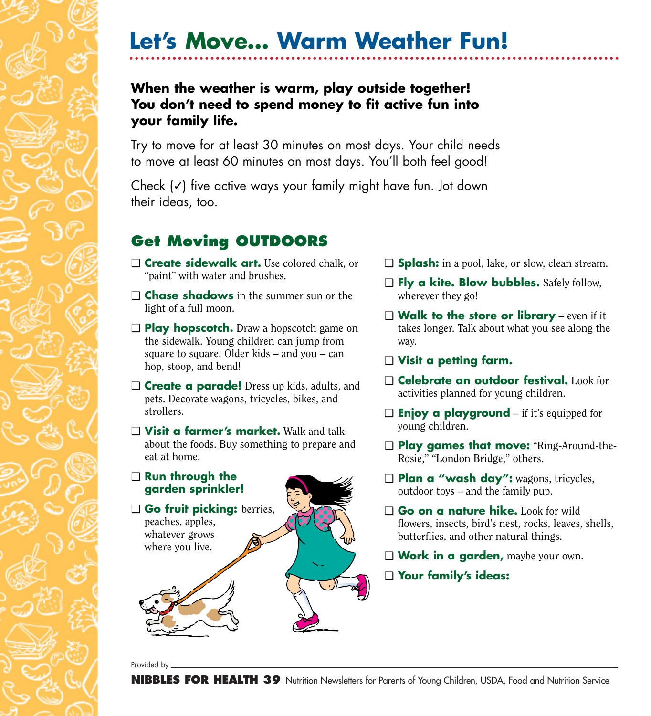### **When the weather is warm, play outside together! You don't need to spend money to fit active fun into your family life.**

Try to move for at least 30 minutes on most days. Your child needs to move at least 60 minutes on most days. You'll both feel good!

Check (✓) five active ways your family might have fun. Jot down their ideas, too.

### **Get Moving OUTDOORS**

- ❑ **Create sidewalk art.** Use colored chalk, or "paint" with water and brushes.
- ❑ **Chase shadows** in the summer sun or the light of a full moon.
- ❑ **Play hopscotch.** Draw a hopscotch game on the sidewalk. Young children can jump from square to square. Older kids – and you – can hop, stoop, and bend!
- ❑ **Create a parade!** Dress up kids, adults, and pets. Decorate wagons, tricycles, bikes, and strollers.
- ❑ **Visit a farmer's market.** Walk and talk about the foods. Buy something to prepare and eat at home.



- ❑ **Splash:** in a pool, lake, or slow, clean stream.
- ❑ **Fly a kite. Blow bubbles.** Safely follow, wherever they go!
- ❑ **Walk to the store or library** even if it takes longer. Talk about what you see along the way.
- ❑ **Visit a petting farm.**
- ❑ **Celebrate an outdoor festival.** Look for activities planned for young children.
- ❑ **Enjoy a playground** if it's equipped for young children.
- ❑ **Play games that move:** "Ring-Around-the-Rosie," "London Bridge," others.
- ❑ **Plan a "wash day":** wagons, tricycles, outdoor toys – and the family pup.
- ❑ **Go on a nature hike.** Look for wild flowers, insects, bird's nest, rocks, leaves, shells, butterflies, and other natural things.
- ❑ **Work in a garden,** maybe your own.
- ❑ **Your family's ideas:**

Provided by